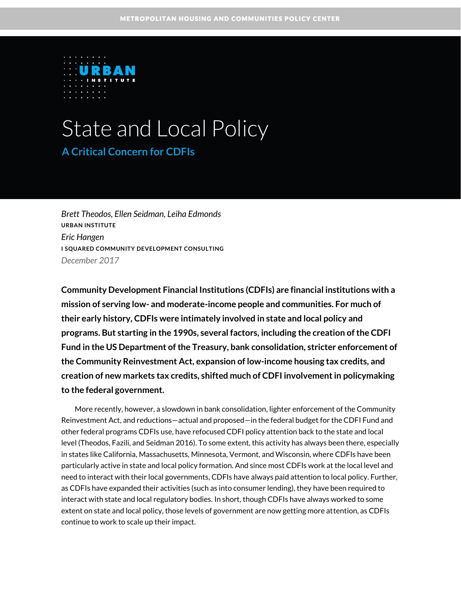

# State and Local Policy **A Critical Concern for CDFIs**

*Brett Theodos, Ellen Seidman, Leiha Edmonds* **URBAN INSTITUTE** *Eric Hangen* **I SQUARED COMMUNITY DEVELOPMENT CONSULTING** *December 2017*

**Community Development Financial Institutions (CDFIs) are financial institutions with a mission of serving low- and moderate-income people and communities. For much of their early history, CDFIs were intimately involved in state and local policy and programs. But starting in the 1990s, several factors, including the creation of the CDFI Fund in the US Department of the Treasury, bank consolidation, stricter enforcement of the Community Reinvestment Act, expansion of low-income housing tax credits, and creation of new markets tax credits, shifted much of CDFI involvement in policymaking to the federal government.**

More recently, however, a slowdown in bank consolidation, lighter enforcement of the Community Reinvestment Act, and reductions—actual and proposed—in the federal budget for the CDFI Fund and other federal programs CDFIs use, have refocused CDFI policy attention back to the state and local level (Theodos, Fazili, and Seidman 2016). To some extent, this activity has always been there, especially in states like California, Massachusetts, Minnesota, Vermont, and Wisconsin, where CDFIs have been particularly active in state and local policy formation. And since most CDFIs work at the local level and need to interact with their local governments, CDFIs have always paid attention to local policy. Further, as CDFIs have expanded their activities (such as into consumer lending), they have been required to interact with state and local regulatory bodies. In short, though CDFIs have always worked to some extent on state and local policy, those levels of government are now getting more attention, as CDFIs continue to work to scale up their impact.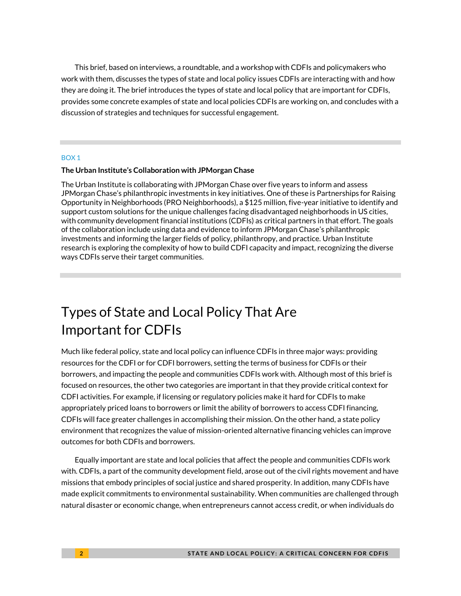This brief, based on interviews, a roundtable, and a workshop with CDFIs and policymakers who work with them, discusses the types of state and local policy issues CDFIs are interacting with and how they are doing it. The brief introduces the types of state and local policy that are important for CDFIs, provides some concrete examples of state and local policies CDFIs are working on, and concludes with a discussion of strategies and techniques for successful engagement.

#### BOX 1

#### **The Urban Institute's Collaboration with JPMorgan Chase**

The Urban Institute is collaborating with JPMorgan Chase over five years to inform and assess JPMorgan Chase's philanthropic investments in key initiatives. One of these is Partnerships for Raising Opportunity in Neighborhoods (PRO Neighborhoods), a \$125 million, five-year initiative to identify and support custom solutions for the unique challenges facing disadvantaged neighborhoods in US cities, with community development financial institutions (CDFIs) as critical partners in that effort. The goals of the collaboration include using data and evidence to inform JPMorgan Chase's philanthropic investments and informing the larger fields of policy, philanthropy, and practice. Urban Institute research is exploring the complexity of how to build CDFI capacity and impact, recognizing the diverse ways CDFIs serve their target communities.

## Types of State and Local Policy That Are Important for CDFIs

Much like federal policy, state and local policy can influence CDFIs in three major ways: providing resources for the CDFI or for CDFI borrowers, setting the terms of business for CDFIs or their borrowers, and impacting the people and communities CDFIs work with. Although most of this brief is focused on resources, the other two categories are important in that they provide critical context for CDFI activities. For example, if licensing or regulatory policies make it hard for CDFIs to make appropriately priced loans to borrowers or limit the ability of borrowers to access CDFI financing, CDFIs will face greater challenges in accomplishing their mission. On the other hand, a state policy environment that recognizes the value of mission-oriented alternative financing vehicles can improve outcomes for both CDFIs and borrowers.

Equally important are state and local policies that affect the people and communities CDFIs work with. CDFIs, a part of the community development field, arose out of the civil rights movement and have missions that embody principles of social justice and shared prosperity. In addition, many CDFIs have made explicit commitments to environmental sustainability. When communities are challenged through natural disaster or economic change, when entrepreneurs cannot access credit, or when individuals do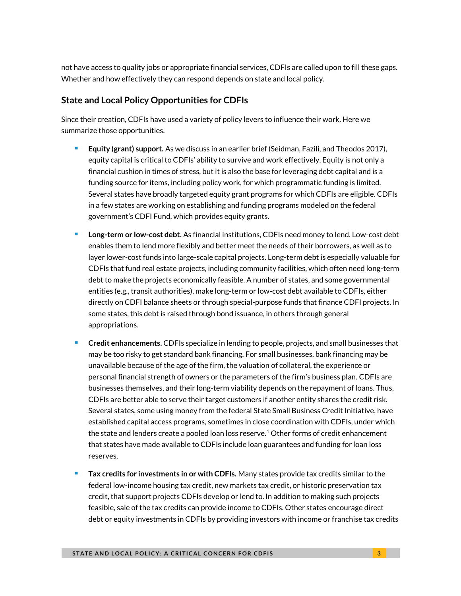not have access to quality jobs or appropriate financial services, CDFIs are called upon to fill these gaps. Whether and how effectively they can respond depends on state and local policy.

### **State and Local Policy Opportunities for CDFIs**

Since their creation, CDFIs have used a variety of policy levers to influence their work. Here we summarize those opportunities.

- **Equity (grant) support.** As we discuss in an earlier brief (Seidman, Fazili, and Theodos 2017), equity capital is critical to CDFIs' ability to survive and work effectively. Equity is not only a financial cushion in times of stress, but it is also the base for leveraging debt capital and is a funding source for items, including policy work, for which programmatic funding is limited. Several states have broadly targeted equity grant programs for which CDFIs are eligible. CDFIs in a few states are working on establishing and funding programs modeled on the federal government's CDFI Fund, which provides equity grants.
- **Long-term or low-cost debt.** As financial institutions, CDFIs need money to lend. Low-cost debt enables them to lend more flexibly and better meet the needs of their borrowers, as well as to layer lower-cost funds into large-scale capital projects. Long-term debt is especially valuable for CDFIs that fund real estate projects, including community facilities, which often need long-term debt to make the projects economically feasible. A number of states, and some governmental entities (e.g., transit authorities), make long-term or low-cost debt available to CDFIs, either directly on CDFI balance sheets or through special-purpose funds that finance CDFI projects. In some states, this debt is raised through bond issuance, in others through general appropriations.
- **Credit enhancements.** CDFIs specialize in lending to people, projects, and small businesses that may be too risky to get standard bank financing. For small businesses, bank financing may be unavailable because of the age of the firm, the valuation of collateral, the experience or personal financial strength of owners or the parameters of the firm's business plan. CDFIs are businesses themselves, and their long-term viability depends on the repayment of loans. Thus, CDFIs are better able to serve their target customers if another entity shares the credit risk. Several states, some using money from the federal State Small Business Credit Initiative, have established capital access programs, sometimes in close coordination with CDFIs, under which the state and lenders create a pooled loan loss reserve.<sup>[1](#page-14-0)</sup> Other forms of credit enhancement that states have made available to CDFIs include loan guarantees and funding for loan loss reserves.
- **Tax credits for investments in or with CDFIs.** Many states provide tax credits similar to the federal low-income housing tax credit, new markets tax credit, or historic preservation tax credit, that support projects CDFIs develop or lend to. In addition to making such projects feasible, sale of the tax credits can provide income to CDFIs. Other states encourage direct debt or equity investments in CDFIs by providing investors with income or franchise tax credits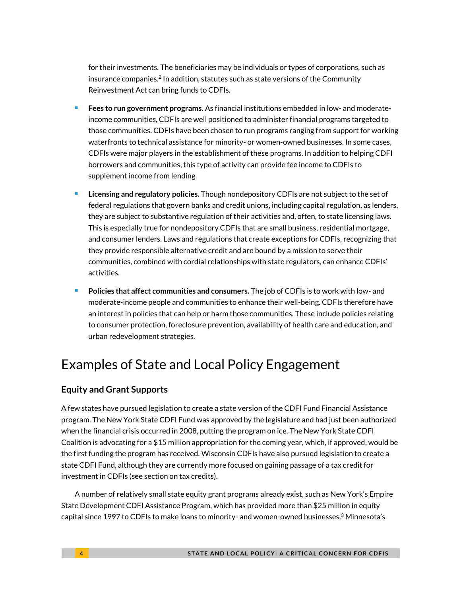for their investments. The beneficiaries may be individuals or types of corporations, such as insurance companie[s.](#page-14-1) $2$  In addition, statutes such as state versions of the Community Reinvestment Act can bring funds to CDFIs.

- **Fees to run government programs.** As financial institutions embedded in low- and moderateincome communities, CDFIs are well positioned to administer financial programs targeted to those communities. CDFIs have been chosen to run programs ranging from support for working waterfronts to technical assistance for minority- or women-owned businesses. In some cases, CDFIs were major players in the establishment of these programs. In addition to helping CDFI borrowers and communities, this type of activity can provide fee income to CDFIs to supplement income from lending.
- **Licensing and regulatory policies.** Though nondepository CDFIs are not subject to the set of federal regulations that govern banks and credit unions, including capital regulation, as lenders, they are subject to substantive regulation of their activities and, often, to state licensing laws. This is especially true for nondepository CDFIs that are small business, residential mortgage, and consumer lenders. Laws and regulations that create exceptions for CDFIs, recognizing that they provide responsible alternative credit and are bound by a mission to serve their communities, combined with cordial relationships with state regulators, can enhance CDFIs' activities.
- **Policies that affect communities and consumers.** The job of CDFIs is to work with low- and moderate-income people and communities to enhance their well-being. CDFIs therefore have an interest in policies that can help or harm those communities. These include policies relating to consumer protection, foreclosure prevention, availability of health care and education, and urban redevelopment strategies.

## Examples of State and Local Policy Engagement

### **Equity and Grant Supports**

A few states have pursued legislation to create a state version of the CDFI Fund Financial Assistance program. The New York State CDFI Fund was approved by the legislature and had just been authorized when the financial crisis occurred in 2008, putting the program on ice. The New York State CDFI Coalition is advocating for a \$15 million appropriation for the coming year, which, if approved, would be the first funding the program has received. Wisconsin CDFIs have also pursued legislation to create a state CDFI Fund, although they are currently more focused on gaining passage of a tax credit for investment in CDFIs (see section on tax credits).

A number of relatively small state equity grant programs already exist, such as New York's Empire State Development CDFI Assistance Program, which has provided more than \$25 million in equity capital since 1997 to CDFIs to make loans to minority- and women-owned businesses. $^3$  $^3$  Minnesota's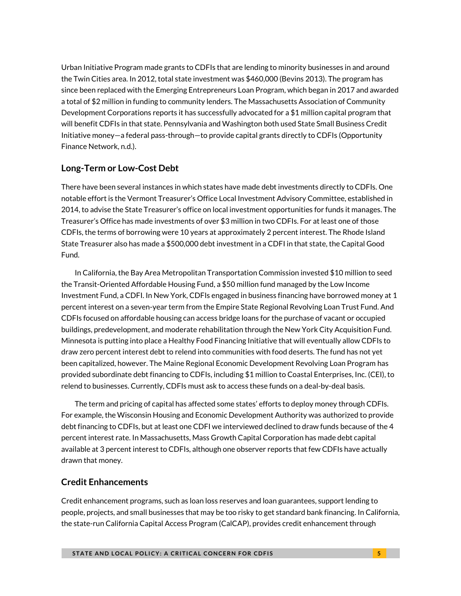Urban Initiative Program made grants to CDFIs that are lending to minority businesses in and around the Twin Cities area. In 2012, total state investment was \$460,000 (Bevins 2013). The program has since been replaced with the Emerging Entrepreneurs Loan Program, which began in 2017 and awarded a total of \$2 million in funding to community lenders. The Massachusetts Association of Community Development Corporations reports it has successfully advocated for a \$1 million capital program that will benefit CDFIs in that state. Pennsylvania and Washington both used State Small Business Credit Initiative money—a federal pass-through—to provide capital grants directly to CDFIs (Opportunity Finance Network, n.d.).

### **Long-Term or Low-Cost Debt**

There have been several instances in which states have made debt investments directly to CDFIs. One notable effort is the Vermont Treasurer's Office Local Investment Advisory Committee, established in 2014, to advise the State Treasurer's office on local investment opportunities for funds it manages. The Treasurer's Office has made investments of over \$3 million in two CDFIs. For at least one of those CDFIs, the terms of borrowing were 10 years at approximately 2 percent interest. The Rhode Island State Treasurer also has made a \$500,000 debt investment in a CDFI in that state, the Capital Good Fund.

In California, the Bay Area Metropolitan Transportation Commission invested \$10 million to seed the Transit-Oriented Affordable Housing Fund, a \$50 million fund managed by the Low Income Investment Fund, a CDFI. In New York, CDFIs engaged in business financing have borrowed money at 1 percent interest on a seven-year term from the Empire State Regional Revolving Loan Trust Fund. And CDFIs focused on affordable housing can access bridge loans for the purchase of vacant or occupied buildings, predevelopment, and moderate rehabilitation through the New York City Acquisition Fund. Minnesota is putting into place a Healthy Food Financing Initiative that will eventually allow CDFIs to draw zero percent interest debt to relend into communities with food deserts. The fund has not yet been capitalized, however. The Maine Regional Economic Development Revolving Loan Program has provided subordinate debt financing to CDFIs, including \$1 million to Coastal Enterprises, Inc. (CEI), to relend to businesses. Currently, CDFIs must ask to access these funds on a deal-by-deal basis.

The term and pricing of capital has affected some states' efforts to deploy money through CDFIs. For example, the Wisconsin Housing and Economic Development Authority was authorized to provide debt financing to CDFIs, but at least one CDFI we interviewed declined to draw funds because of the 4 percent interest rate. In Massachusetts, Mass Growth Capital Corporation has made debt capital available at 3 percent interest to CDFIs, although one observer reports that few CDFIs have actually drawn that money.

### **Credit Enhancements**

Credit enhancement programs, such as loan loss reserves and loan guarantees, support lending to people, projects, and small businesses that may be too risky to get standard bank financing. In California, the state-run California Capital Access Program (CalCAP), provides credit enhancement through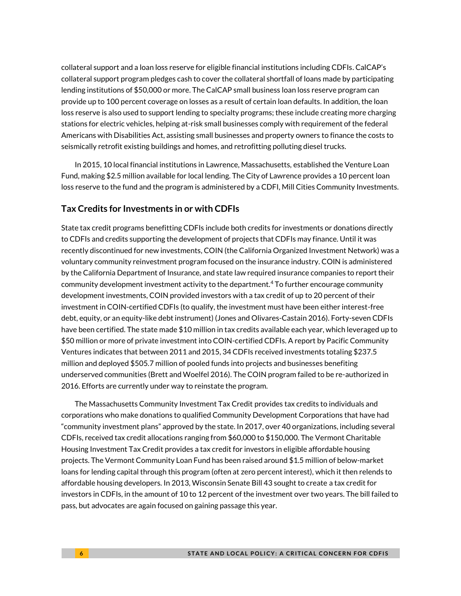collateral support and a loan loss reserve for eligible financial institutions including CDFIs. CalCAP's collateral support program pledges cash to cover the collateral shortfall of loans made by participating lending institutions of \$50,000 or more. The CalCAP small business loan loss reserve program can provide up to 100 percent coverage on losses as a result of certain loan defaults. In addition, the loan loss reserve is also used to support lending to specialty programs; these include creating more charging stations for electric vehicles, helping at-risk small businesses comply with requirement of the federal Americans with Disabilities Act, assisting small businesses and property owners to finance the costs to seismically retrofit existing buildings and homes, and retrofitting polluting diesel trucks.

In 2015, 10 local financial institutions in Lawrence, Massachusetts, established the Venture Loan Fund, making \$2.5 million available for local lending. The City of Lawrence provides a 10 percent loan loss reserve to the fund and the program is administered by a CDFI, Mill Cities Community Investments.

### **Tax Credits for Investments in or with CDFIs**

State tax credit programs benefitting CDFIs include both credits for investments or donations directly to CDFIs and credits supporting the development of projects that CDFIs may finance. Until it was recently discontinued for new investments, COIN (the California Organized Investment Network) was a voluntary community reinvestment program focused on the insurance industry. COIN is administered by the California Department of Insurance, and state law required insurance companies to report their community development investment activity to the department.[4](#page-14-3) To further encourage community development investments, COIN provided investors with a tax credit of up to 20 percent of their investment in COIN-certified CDFIs (to qualify, the investment must have been either interest-free debt, equity, or an equity-like debt instrument) (Jones and Olivares-Castain 2016). Forty-seven CDFIs have been certified. The state made \$10 million in tax credits available each year, which leveraged up to \$50 million or more of private investment into COIN-certified CDFIs. A report by Pacific Community Ventures indicates that between 2011 and 2015, 34 CDFIs received investments totaling \$237.5 million and deployed \$505.7 million of pooled funds into projects and businesses benefiting underserved communities (Brett and Woelfel 2016). The COIN program failed to be re-authorized in 2016. Efforts are currently under way to reinstate the program.

The Massachusetts Community Investment Tax Credit provides tax credits to individuals and corporations who make donations to qualified Community Development Corporations that have had "community investment plans" approved by the state. In 2017, over 40 organizations, including several CDFIs, received tax credit allocations ranging from \$60,000 to \$150,000. The Vermont Charitable Housing Investment Tax Credit provides a tax credit for investors in eligible affordable housing projects. The Vermont Community Loan Fund has been raised around \$1.5 million of below-market loans for lending capital through this program (often at zero percent interest), which it then relends to affordable housing developers. In 2013, Wisconsin Senate Bill 43 sought to create a tax credit for investors in CDFIs, in the amount of 10 to 12 percent of the investment over two years. The bill failed to pass, but advocates are again focused on gaining passage this year.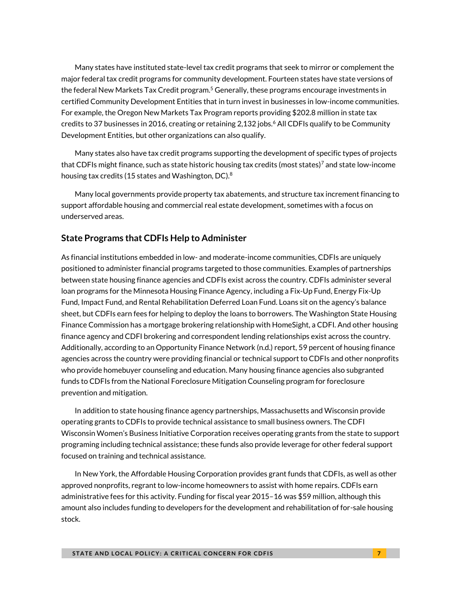Many states have instituted state-level tax credit programs that seek to mirror or complement the major federal tax credit programs for community development. Fourteen states have state versions of the federal New Markets Tax Credit progra[m.](#page-14-4)<sup>5</sup> Generally, these programs encourage investments in certified Community Development Entities that in turn invest in businesses in low-income communities. For example, the Oregon New Markets Tax Program reports providing \$202.8 million in state tax credits to 37 businesses in 201[6](#page-14-5), creating or retaining 2,132 jobs.<sup>6</sup> All CDFIs qualify to be Community Development Entities, but other organizations can also qualify.

Many states also have tax credit programs supporting the development of specific types of projects that CDFIs might finance, such as state historic housing tax credits (most states[\)](#page-14-6) <sup>7</sup> and state low-income housing tax credits (15 states and Washington, DC).<sup>[8](#page-14-7)</sup>

Many local governments provide property tax abatements, and structure tax increment financing to support affordable housing and commercial real estate development, sometimes with a focus on underserved areas.

### **State Programs that CDFIs Help to Administer**

As financial institutions embedded in low- and moderate-income communities, CDFIs are uniquely positioned to administer financial programs targeted to those communities. Examples of partnerships between state housing finance agencies and CDFIs exist across the country. CDFIs administer several loan programs for the Minnesota Housing Finance Agency, including a Fix-Up Fund, Energy Fix-Up Fund, Impact Fund, and Rental Rehabilitation Deferred Loan Fund. Loans sit on the agency's balance sheet, but CDFIs earn fees for helping to deploy the loans to borrowers. The Washington State Housing Finance Commission has a mortgage brokering relationship with HomeSight, a CDFI. And other housing finance agency and CDFI brokering and correspondent lending relationships exist across the country. Additionally, according to an Opportunity Finance Network (n.d.) report, 59 percent of housing finance agencies across the country were providing financial or technical support to CDFIs and other nonprofits who provide homebuyer counseling and education. Many housing finance agencies also subgranted funds to CDFIs from the National Foreclosure Mitigation Counseling program for foreclosure prevention and mitigation.

In addition to state housing finance agency partnerships, Massachusetts and Wisconsin provide operating grants to CDFIs to provide technical assistance to small business owners. The CDFI Wisconsin Women's Business Initiative Corporation receives operating grants from the state to support programing including technical assistance; these funds also provide leverage for other federal support focused on training and technical assistance.

In New York, the Affordable Housing Corporation provides grant funds that CDFIs, as well as other approved nonprofits, regrant to low-income homeowners to assist with home repairs. CDFIs earn administrative fees for this activity. Funding for fiscal year 2015–16 was \$59 million, although this amount also includes funding to developers for the development and rehabilitation of for-sale housing stock.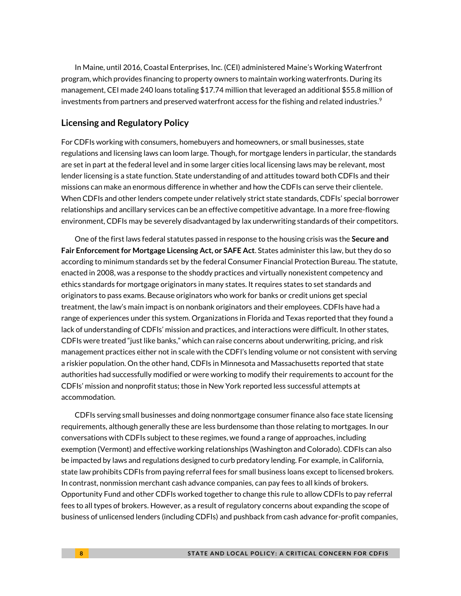In Maine, until 2016, Coastal Enterprises, Inc. (CEI) administered Maine's Working Waterfront program, which provides financing to property owners to maintain working waterfronts. During its management, CEI made 240 loans totaling \$17.74 million that leveraged an additional \$55.8 million of investments from partners and preserved waterfront access for the fishing and related industrie[s.](#page-14-8) 9

### **Licensing and Regulatory Policy**

For CDFIs working with consumers, homebuyers and homeowners, or small businesses, state regulations and licensing laws can loom large. Though, for mortgage lenders in particular, the standards are set in part at the federal level and in some larger cities local licensing laws may be relevant, most lender licensing is a state function. State understanding of and attitudes toward both CDFIs and their missions can make an enormous difference in whether and how the CDFIs can serve their clientele. When CDFIs and other lenders compete under relatively strict state standards, CDFIs' special borrower relationships and ancillary services can be an effective competitive advantage. In a more free-flowing environment, CDFIs may be severely disadvantaged by lax underwriting standards of their competitors.

One of the first laws federal statutes passed in response to the housing crisis was the **Secure and Fair Enforcement for Mortgage Licensing Act, or SAFE Act**. States administer this law, but they do so according to minimum standards set by the federal Consumer Financial Protection Bureau. The statute, enacted in 2008, was a response to the shoddy practices and virtually nonexistent competency and ethics standards for mortgage originators in many states. It requires states to set standards and originators to pass exams. Because originators who work for banks or credit unions get special treatment, the law's main impact is on nonbank originators and their employees. CDFIs have had a range of experiences under this system. Organizations in Florida and Texas reported that they found a lack of understanding of CDFIs' mission and practices, and interactions were difficult. In other states, CDFIs were treated "just like banks," which can raise concerns about underwriting, pricing, and risk management practices either not in scale with the CDFI's lending volume or not consistent with serving a riskier population. On the other hand, CDFIs in Minnesota and Massachusetts reported that state authorities had successfully modified or were working to modify their requirements to account for the CDFIs' mission and nonprofit status; those in New York reported less successful attempts at accommodation.

CDFIs serving small businesses and doing nonmortgage consumer finance also face state licensing requirements, although generally these are less burdensome than those relating to mortgages. In our conversations with CDFIs subject to these regimes, we found a range of approaches, including exemption (Vermont) and effective working relationships (Washington and Colorado). CDFIs can also be impacted by laws and regulations designed to curb predatory lending. For example, in California, state law prohibits CDFIs from paying referral fees for small business loans except to licensed brokers. In contrast, nonmission merchant cash advance companies, can pay fees to all kinds of brokers. Opportunity Fund and other CDFIs worked together to change this rule to allow CDFIs to pay referral fees to all types of brokers. However, as a result of regulatory concerns about expanding the scope of business of unlicensed lenders (including CDFIs) and pushback from cash advance for-profit companies,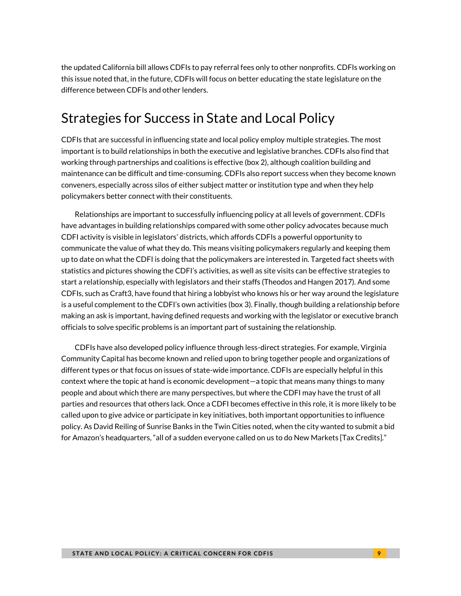the updated California bill allows CDFIs to pay referral fees only to other nonprofits. CDFIs working on this issue noted that, in the future, CDFIs will focus on better educating the state legislature on the difference between CDFIs and other lenders.

## Strategies for Success in State and Local Policy

CDFIs that are successful in influencing state and local policy employ multiple strategies. The most important is to build relationships in both the executive and legislative branches. CDFIs also find that working through partnerships and coalitions is effective (box 2), although coalition building and maintenance can be difficult and time-consuming. CDFIs also report success when they become known conveners, especially across silos of either subject matter or institution type and when they help policymakers better connect with their constituents.

Relationships are important to successfully influencing policy at all levels of government. CDFIs have advantages in building relationships compared with some other policy advocates because much CDFI activity is visible in legislators' districts, which affords CDFIs a powerful opportunity to communicate the value of what they do. This means visiting policymakers regularly and keeping them up to date on what the CDFI is doing that the policymakers are interested in. Targeted fact sheets with statistics and pictures showing the CDFI's activities, as well as site visits can be effective strategies to start a relationship, especially with legislators and their staffs (Theodos and Hangen 2017). And some CDFIs, such as Craft3, have found that hiring a lobbyist who knows his or her way around the legislature is a useful complement to the CDFI's own activities (box 3). Finally, though building a relationship before making an ask is important, having defined requests and working with the legislator or executive branch officials to solve specific problems is an important part of sustaining the relationship.

CDFIs have also developed policy influence through less-direct strategies. For example, Virginia Community Capital has become known and relied upon to bring together people and organizations of different types or that focus on issues of state-wide importance. CDFIs are especially helpful in this context where the topic at hand is economic development—a topic that means many things to many people and about which there are many perspectives, but where the CDFI may have the trust of all parties and resources that others lack. Once a CDFI becomes effective in this role, it is more likely to be called upon to give advice or participate in key initiatives, both important opportunities to influence policy. As David Reiling of Sunrise Banks in the Twin Cities noted, when the city wanted to submit a bid for Amazon's headquarters, "all of a sudden everyone called on us to do New Markets [Tax Credits]."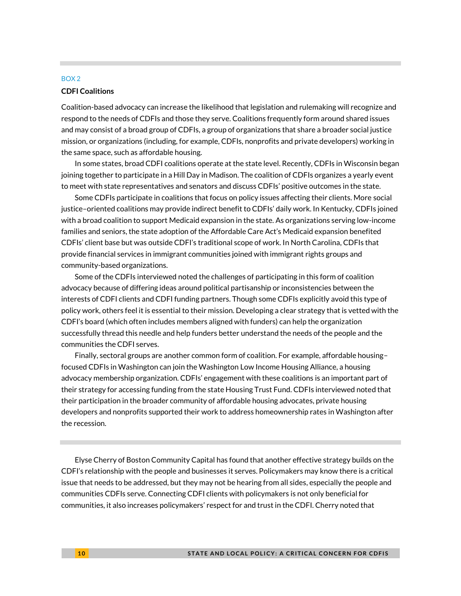#### BOX 2

#### **CDFI Coalitions**

Coalition-based advocacy can increase the likelihood that legislation and rulemaking will recognize and respond to the needs of CDFIs and those they serve. Coalitions frequently form around shared issues and may consist of a broad group of CDFIs, a group of organizations that share a broader social justice mission, or organizations (including, for example, CDFIs, nonprofits and private developers) working in the same space, such as affordable housing.

In some states, broad CDFI coalitions operate at the state level. Recently, CDFIs in Wisconsin began joining together to participate in a Hill Day in Madison. The coalition of CDFIs organizes a yearly event to meet with state representatives and senators and discuss CDFIs' positive outcomes in the state.

Some CDFIs participate in coalitions that focus on policy issues affecting their clients. More social justice–oriented coalitions may provide indirect benefit to CDFIs' daily work. In Kentucky, CDFIs joined with a broad coalition to support Medicaid expansion in the state. As organizations serving low-income families and seniors, the state adoption of the Affordable Care Act's Medicaid expansion benefited CDFIs' client base but was outside CDFI's traditional scope of work. In North Carolina, CDFIs that provide financial services in immigrant communities joined with immigrant rights groups and community-based organizations.

Some of the CDFIs interviewed noted the challenges of participating in this form of coalition advocacy because of differing ideas around political partisanship or inconsistencies between the interests of CDFI clients and CDFI funding partners. Though some CDFIs explicitly avoid this type of policy work, others feel it is essential to their mission. Developing a clear strategy that is vetted with the CDFI's board (which often includes members aligned with funders) can help the organization successfully thread this needle and help funders better understand the needs of the people and the communities the CDFI serves.

Finally, sectoral groups are another common form of coalition. For example, affordable housing– focused CDFIs in Washington can join the Washington Low Income Housing Alliance, a housing advocacy membership organization. CDFIs' engagement with these coalitions is an important part of their strategy for accessing funding from the state Housing Trust Fund. CDFIs interviewed noted that their participation in the broader community of affordable housing advocates, private housing developers and nonprofits supported their work to address homeownership rates in Washington after the recession.

Elyse Cherry of Boston Community Capital has found that another effective strategy builds on the CDFI's relationship with the people and businesses it serves. Policymakers may know there is a critical issue that needs to be addressed, but they may not be hearing from all sides, especially the people and communities CDFIs serve. Connecting CDFI clients with policymakers is not only beneficial for communities, it also increases policymakers' respect for and trust in the CDFI. Cherry noted that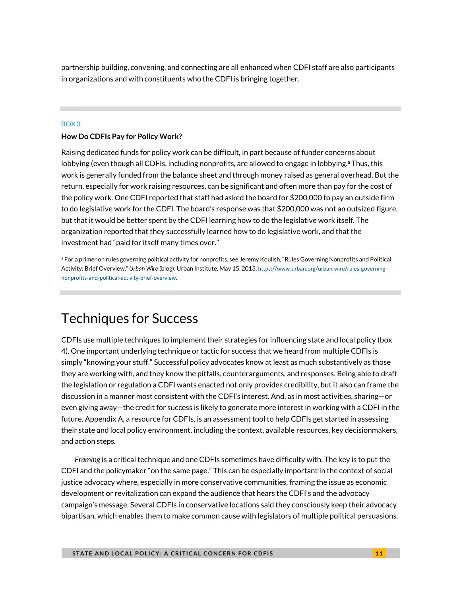partnership building, convening, and connecting are all enhanced when CDFI staff are also participants in organizations and with constituents who the CDFI is bringing together.

#### BOX 3

#### **How Do CDFIs Pay for Policy Work?**

Raising dedicated funds for policy work can be difficult, in part because of funder concerns about lobbying (even though all CDFIs, including nonprofits, are allowed to engage in lobbying.<sup>a</sup> Thus, this work is generally funded from the balance sheet and through money raised as general overhead. But the return, especially for work raising resources, can be significant and often more than pay for the cost of the policy work. One CDFI reported that staff had asked the board for \$200,000 to pay an outside firm to do legislative work for the CDFI. The board's response was that \$200,000 was not an outsized figure, but that it would be better spent by the CDFI learning how to do the legislative work itself. The organization reported that they successfully learned how to do legislative work, and that the investment had "paid for itself many times over."

a For a primer on rules governing political activity for nonprofits, see Jeremy Koulish, "Rules Governing Nonprofits and Political Activity: Brief Overview," *Urban Wire* (blog), Urban Institute, May 15, 2013, [https://www.urban.org/urban-wire/rules-governing](https://www.urban.org/urban-wire/rules-governing-nonprofits-and-political-activity-brief-overview)[nonprofits-and-political-activity-brief-overview](https://www.urban.org/urban-wire/rules-governing-nonprofits-and-political-activity-brief-overview).

### Techniques for Success

CDFIs use multiple techniques to implement their strategies for influencing state and local policy (box 4). One important underlying technique or tactic for success that we heard from multiple CDFIs is simply "knowing your stuff." Successful policy advocates know at least as much substantively as those they are working with, and they know the pitfalls, counterarguments, and responses. Being able to draft the legislation or regulation a CDFI wants enacted not only provides credibility, but it also can frame the discussion in a manner most consistent with the CDFI's interest. And, as in most activities, sharing—or even giving away—the credit for success is likely to generate more interest in working with a CDFI in the future. Appendix A, a resource for CDFIs, is an assessment tool to help CDFIs get started in assessing their state and local policy environment, including the context, available resources, key decisionmakers, and action steps.

*Framing* is a critical technique and one CDFIs sometimes have difficulty with. The key is to put the CDFI and the policymaker "on the same page." This can be especially important in the context of social justice advocacy where, especially in more conservative communities, framing the issue as economic development or revitalization can expand the audience that hears the CDFI's and the advocacy campaign's message. Several CDFIs in conservative locations said they consciously keep their advocacy bipartisan, which enables them to make common cause with legislators of multiple political persuasions.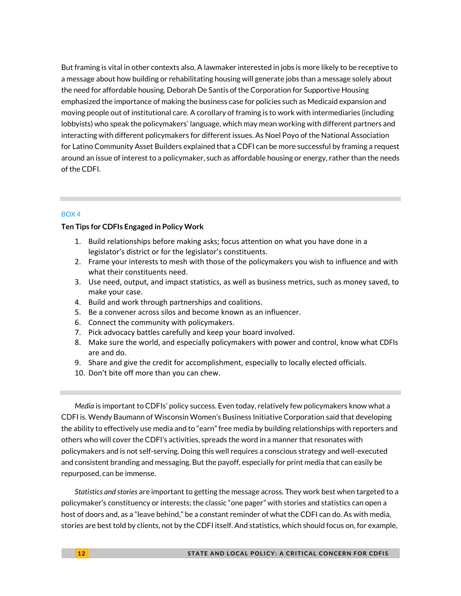But framing is vital in other contexts also. A lawmaker interested in jobs is more likely to be receptive to a message about how building or rehabilitating housing will generate jobs than a message solely about the need for affordable housing. Deborah De Santis of the Corporation for Supportive Housing emphasized the importance of making the business case for policies such as Medicaid expansion and moving people out of institutional care. A corollary of framing is to work with intermediaries (including lobbyists) who speak the policymakers' language, which may mean working with different partners and interacting with different policymakers for different issues. As Noel Poyo of the National Association for Latino Community Asset Builders explained that a CDFI can be more successful by framing a request around an issue of interest to a policymaker, such as affordable housing or energy, rather than the needs of the CDFI.

#### BOX 4

#### **Ten Tips for CDFIs Engaged in Policy Work**

- 1. Build relationships before making asks; focus attention on what you have done in a legislator's district or for the legislator's constituents.
- 2. Frame your interests to mesh with those of the policymakers you wish to influence and with what their constituents need.
- 3. Use need, output, and impact statistics, as well as business metrics, such as money saved, to make your case.
- 4. Build and work through partnerships and coalitions.
- 5. Be a convener across silos and become known as an influencer.
- 6. Connect the community with policymakers.
- 7. Pick advocacy battles carefully and keep your board involved.
- 8. Make sure the world, and especially policymakers with power and control, know what CDFIs are and do.
- 9. Share and give the credit for accomplishment, especially to locally elected officials.
- 10. Don't bite off more than you can chew.

*Media* is important to CDFIs' policy success. Even today, relatively few policymakers know what a CDFI is. Wendy Baumann of Wisconsin Women's Business Initiative Corporation said that developing the ability to effectively use media and to "earn" free media by building relationships with reporters and others who will cover the CDFI's activities, spreads the word in a manner that resonates with policymakers and is not self-serving. Doing this well requires a conscious strategy and well-executed and consistent branding and messaging. But the payoff, especially for print media that can easily be repurposed, can be immense.

*Statistics and stories* are important to getting the message across. They work best when targeted to a policymaker's constituency or interests; the classic "one pager" with stories and statistics can open a host of doors and, as a "leave behind," be a constant reminder of what the CDFI can do. As with media, stories are best told by clients, not by the CDFI itself. And statistics, which should focus on, for example,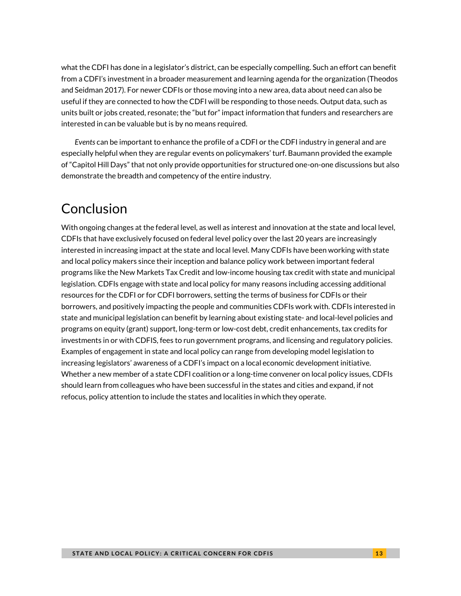what the CDFI has done in a legislator's district, can be especially compelling. Such an effort can benefit from a CDFI's investment in a broader measurement and learning agenda for the organization (Theodos and Seidman 2017). For newer CDFIs or those moving into a new area, data about need can also be useful if they are connected to how the CDFI will be responding to those needs. Output data, such as units built or jobs created, resonate; the "but for" impact information that funders and researchers are interested in can be valuable but is by no means required.

*Events* can be important to enhance the profile of a CDFI or the CDFI industry in general and are especially helpful when they are regular events on policymakers' turf. Baumann provided the example of "Capitol Hill Days" that not only provide opportunities for structured one-on-one discussions but also demonstrate the breadth and competency of the entire industry.

## Conclusion

With ongoing changes at the federal level, as well as interest and innovation at the state and local level, CDFIs that have exclusively focused on federal level policy over the last 20 years are increasingly interested in increasing impact at the state and local level. Many CDFIs have been working with state and local policy makers since their inception and balance policy work between important federal programs like the New Markets Tax Credit and low-income housing tax credit with state and municipal legislation. CDFIs engage with state and local policy for many reasons including accessing additional resources for the CDFI or for CDFI borrowers, setting the terms of business for CDFIs or their borrowers, and positively impacting the people and communities CDFIs work with. CDFIs interested in state and municipal legislation can benefit by learning about existing state- and local-level policies and programs on equity (grant) support, long-term or low-cost debt, credit enhancements, tax credits for investments in or with CDFIS, fees to run government programs, and licensing and regulatory policies. Examples of engagement in state and local policy can range from developing model legislation to increasing legislators' awareness of a CDFI's impact on a local economic development initiative. Whether a new member of a state CDFI coalition or a long-time convener on local policy issues, CDFIs should learn from colleagues who have been successful in the states and cities and expand, if not refocus, policy attention to include the states and localities in which they operate.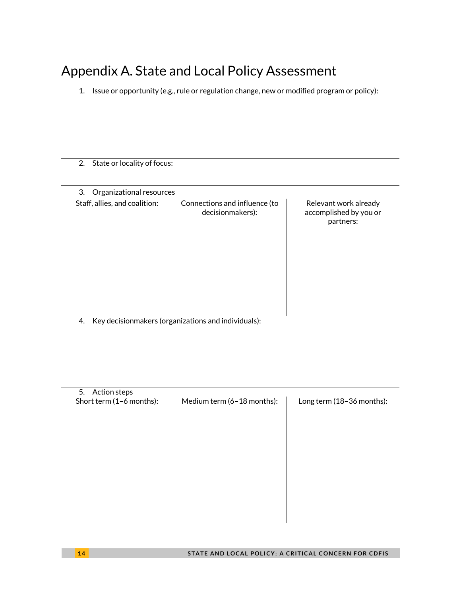## Appendix A. State and Local Policy Assessment

1. Issue or opportunity (e.g., rule or regulation change, new or modified program or policy):

2. State or locality of focus:

| Organizational resources<br>3. |                                                   |                                                              |
|--------------------------------|---------------------------------------------------|--------------------------------------------------------------|
| Staff, allies, and coalition:  | Connections and influence (to<br>decisionmakers): | Relevant work already<br>accomplished by you or<br>partners: |
|                                |                                                   |                                                              |

4. Key decisionmakers (organizations and individuals):

| 5. Action steps                                                                     |  |
|-------------------------------------------------------------------------------------|--|
| Short term (1-6 months):<br>Medium term (6-18 months):<br>Long term (18-36 months): |  |
|                                                                                     |  |
|                                                                                     |  |
|                                                                                     |  |
|                                                                                     |  |
|                                                                                     |  |
|                                                                                     |  |
|                                                                                     |  |
|                                                                                     |  |
|                                                                                     |  |
|                                                                                     |  |
|                                                                                     |  |
|                                                                                     |  |
|                                                                                     |  |
|                                                                                     |  |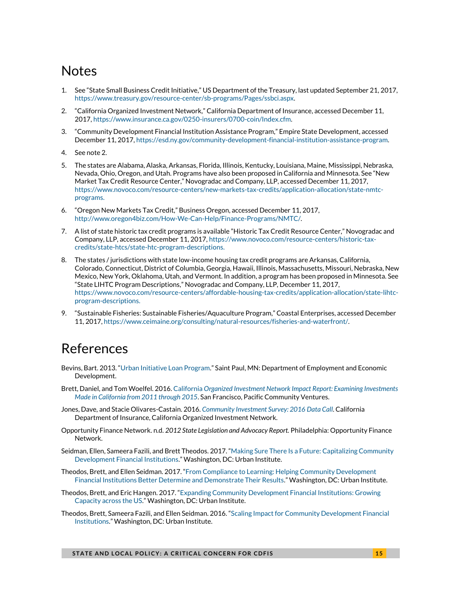## **Notes**

- <span id="page-14-0"></span>1. See "State Small Business Credit Initiative," US Department of the Treasury, last updated September 21, 2017, [https://www.treasury.gov/resource-center/sb-programs/Pages/ssbci.aspx.](https://www.treasury.gov/resource-center/sb-programs/Pages/ssbci.aspx)
- <span id="page-14-1"></span>2. "California Organized Investment Network," California Department of Insurance, accessed December 11, 2017[, https://www.insurance.ca.gov/0250-insurers/0700-coin/Index.cfm.](https://www.insurance.ca.gov/0250-insurers/0700-coin/Index.cfm)
- <span id="page-14-2"></span>3. "Community Development Financial Institution Assistance Program," Empire State Development, accessed December 11, 2017[, https://esd.ny.gov/community-development-financial-institution-assistance-program.](https://esd.ny.gov/community-development-financial-institution-assistance-program)
- <span id="page-14-3"></span>4. See note 2.
- <span id="page-14-4"></span>5. The states are Alabama, Alaska, Arkansas, Florida, Illinois, Kentucky, Louisiana, Maine, Mississippi, Nebraska, Nevada, Ohio, Oregon, and Utah. Programs have also been proposed in California and Minnesota. See "New Market Tax Credit Resource Center," Novogradac and Company, LLP, accessed December 11, 2017, [https://www.novoco.com/resource-centers/new-markets-tax-credits/application-allocation/state-nmtc](https://www.novoco.com/resource-centers/new-markets-tax-credits/application-allocation/state-nmtc-programs)[programs.](https://www.novoco.com/resource-centers/new-markets-tax-credits/application-allocation/state-nmtc-programs)
- <span id="page-14-5"></span>6. "Oregon New Markets Tax Credit," Business Oregon, accessed December 11, 2017, [http://www.oregon4biz.com/How-We-Can-Help/Finance-Programs/NMTC/.](http://www.oregon4biz.com/How-We-Can-Help/Finance-Programs/NMTC/)
- <span id="page-14-6"></span>7. A list of state historic tax credit programs is available "Historic Tax Credit Resource Center," Novogradac and Company, LLP, accessed December 11, 2017[, https://www.novoco.com/resource-centers/historic-tax](https://www.novoco.com/resource-centers/historic-tax-credits/state-htcs/state-htc-program-descriptions)[credits/state-htcs/state-htc-program-descriptions.](https://www.novoco.com/resource-centers/historic-tax-credits/state-htcs/state-htc-program-descriptions)
- <span id="page-14-7"></span>The states / jurisdictions with state low-income housing tax credit programs are Arkansas, California, Colorado, Connecticut, District of Columbia, Georgia, Hawaii, Illinois, Massachusetts, Missouri, Nebraska, New Mexico, New York, Oklahoma, Utah, and Vermont. In addition, a program has been proposed in Minnesota. See "State LIHTC Program Descriptions," Novogradac and Company, LLP, December 11, 2017, [https://www.novoco.com/resource-centers/affordable-housing-tax-credits/application-allocation/state-lihtc](https://www.novoco.com/resource-centers/affordable-housing-tax-credits/application-allocation/state-lihtc-program-descriptions)[program-descriptions.](https://www.novoco.com/resource-centers/affordable-housing-tax-credits/application-allocation/state-lihtc-program-descriptions)
- <span id="page-14-8"></span>9. "Sustainable Fisheries: Sustainable Fisheries/Aquaculture Program," Coastal Enterprises, accessed December 11, 2017[, https://www.ceimaine.org/consulting/natural-resources/fisheries-and-waterfront/.](https://www.ceimaine.org/consulting/natural-resources/fisheries-and-waterfront/)

## References

- Bevins, Bart. 2013. "[Urban Initiative Loan Program](https://www.leg.state.mn.us/docs/2013/mandated/130628.pdf)." Saint Paul, MN: Department of Employment and Economic Development.
- Brett, Daniel, and Tom Woelfel. 2016. California *[Organized Investment Network Impact Report: Examining Investments](https://www.pacificcommunityventures.org/wp-content/uploads/sites/6/2016/07/COIN-Impact-Report-Final-Digital-Version.pdf)  [Made in California from 2011 through 2015](https://www.pacificcommunityventures.org/wp-content/uploads/sites/6/2016/07/COIN-Impact-Report-Final-Digital-Version.pdf)*. San Francisco, Pacific Community Ventures.
- Jones, Dave, and Stacie Olivares-Castain. 2016. *[Community Investment Survey: 2016 Data Call](http://www.insurance.ca.gov/0250-insurers/0700-coin/10-Pub-News/upload/COIN-CIS-2016-Key-Findings-Report-Final.pdf)*. California Department of Insurance, California Organized Investment Network.
- Opportunity Finance Network. n.d. *2012 State Legislation and Advocacy Report.* Philadelphia: Opportunity Finance Network.
- Seidman, Ellen, Sameera Fazili, and Brett Theodos. 2017. "[Making Sure There Is a Future: Capitalizing Community](https://www.urban.org/research/publication/making-sure-there-future)  [Development Financial Institutions](https://www.urban.org/research/publication/making-sure-there-future)." Washington, DC: Urban Institute.
- Theodos, Brett, and Ellen Seidman. 2017. "[From Compliance to Learning: Helping Community Development](https://www.urban.org/research/publication/compliance-learning)  [Financial Institutions Better Determine and Demonstrate Their Results.](https://www.urban.org/research/publication/compliance-learning)" Washington, DC: Urban Institute.
- Theodos, Brett, and Eric Hangen. 2017. "[Expanding Community Development Financial Institutions: Growing](https://www.urban.org/research/publication/expanding-community-development-financial-instructions)  [Capacity across the US.](https://www.urban.org/research/publication/expanding-community-development-financial-instructions)" Washington, DC: Urban Institute.
- Theodos, Brett, Sameera Fazili, and Ellen Seidman. 2016. "[Scaling Impact for Community Development Financial](https://www.urban.org/research/publication/scaling-impact-community-development-financial-institutions)  [Institutions.](https://www.urban.org/research/publication/scaling-impact-community-development-financial-institutions)" Washington, DC: Urban Institute.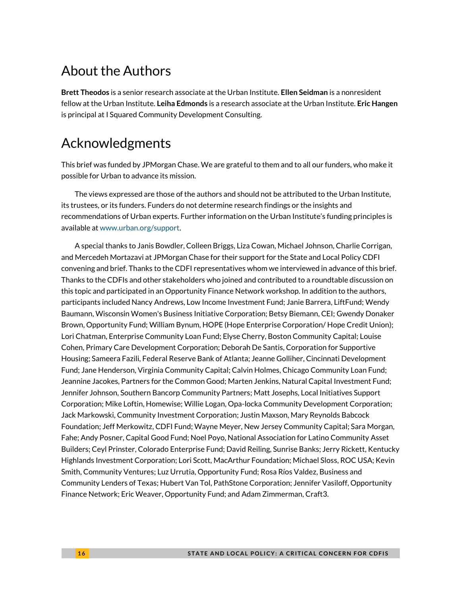## About the Authors

**Brett Theodos** is a senior research associate at the Urban Institute. **Ellen Seidman** is a nonresident fellow at the Urban Institute. **Leiha Edmonds** is a research associate at the Urban Institute. **Eric Hangen** is principal at I Squared Community Development Consulting.

### Acknowledgments

This brief was funded by JPMorgan Chase. We are grateful to them and to all our funders, who make it possible for Urban to advance its mission.

The views expressed are those of the authors and should not be attributed to the Urban Institute, its trustees, or its funders. Funders do not determine research findings or the insights and recommendations of Urban experts. Further information on the Urban Institute's funding principles is available at [www.urban.org/support.](file:///D:/Users/DMatos/AppData/Local/Box/Box%20Edit/Documents/fDNkLIJhcE2rsm2hcR7gJg==/www.urban.org/support)

A special thanks to Janis Bowdler, Colleen Briggs, Liza Cowan, Michael Johnson, Charlie Corrigan, and Mercedeh Mortazavi at JPMorgan Chase for their support for the State and Local Policy CDFI convening and brief. Thanks to the CDFI representatives whom we interviewed in advance of this brief. Thanks to the CDFIs and other stakeholders who joined and contributed to a roundtable discussion on this topic and participated in an Opportunity Finance Network workshop. In addition to the authors, participants included Nancy Andrews, Low Income Investment Fund; Janie Barrera, LiftFund; Wendy Baumann, Wisconsin Women's Business Initiative Corporation; Betsy Biemann, CEI; Gwendy Donaker Brown, Opportunity Fund; William Bynum, HOPE (Hope Enterprise Corporation/ Hope Credit Union); Lori Chatman, Enterprise Community Loan Fund; Elyse Cherry, Boston Community Capital; Louise Cohen, Primary Care Development Corporation; Deborah De Santis, Corporation for Supportive Housing; Sameera Fazili, Federal Reserve Bank of Atlanta; Jeanne Golliher, Cincinnati Development Fund; Jane Henderson, Virginia Community Capital; Calvin Holmes, Chicago Community Loan Fund; Jeannine Jacokes, Partners for the Common Good; Marten Jenkins, Natural Capital Investment Fund; Jennifer Johnson, Southern Bancorp Community Partners; Matt Josephs, Local Initiatives Support Corporation; Mike Loftin, Homewise; Willie Logan, Opa-locka Community Development Corporation; Jack Markowski, Community Investment Corporation; Justin Maxson, Mary Reynolds Babcock Foundation; Jeff Merkowitz, CDFI Fund; Wayne Meyer, New Jersey Community Capital; Sara Morgan, Fahe; Andy Posner, Capital Good Fund; Noel Poyo, National Association for Latino Community Asset Builders; Ceyl Prinster, Colorado Enterprise Fund; David Reiling, Sunrise Banks; Jerry Rickett, Kentucky Highlands Investment Corporation; Lori Scott, MacArthur Foundation; Michael Sloss, ROC USA; Kevin Smith, Community Ventures; Luz Urrutia, Opportunity Fund; Rosa Ríos Valdez, Business and Community Lenders of Texas; Hubert Van Tol, PathStone Corporation; Jennifer Vasiloff, Opportunity Finance Network; Eric Weaver, Opportunity Fund; and Adam Zimmerman, Craft3.